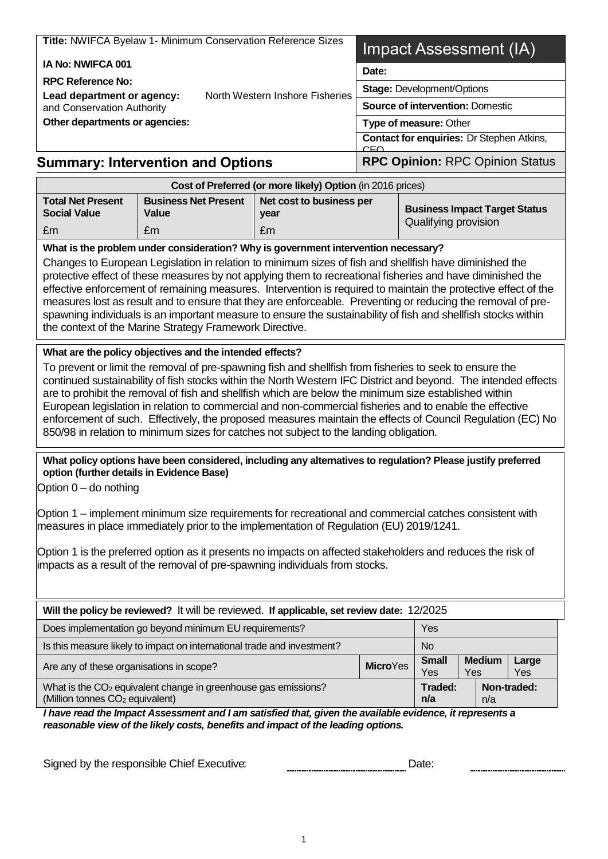|                                                                                                                                                                                                                                                                                                                                                                                                                                                                                                                                                                                                                                                       | Title: NWIFCA Byelaw 1- Minimum Conservation Reference Sizes                                                                                                                                 |                                                            |                                                              | Impact Assessment (IA) |                                                                                    |              |
|-------------------------------------------------------------------------------------------------------------------------------------------------------------------------------------------------------------------------------------------------------------------------------------------------------------------------------------------------------------------------------------------------------------------------------------------------------------------------------------------------------------------------------------------------------------------------------------------------------------------------------------------------------|----------------------------------------------------------------------------------------------------------------------------------------------------------------------------------------------|------------------------------------------------------------|--------------------------------------------------------------|------------------------|------------------------------------------------------------------------------------|--------------|
| IA No: NWIFCA 001                                                                                                                                                                                                                                                                                                                                                                                                                                                                                                                                                                                                                                     |                                                                                                                                                                                              |                                                            | Date:                                                        |                        |                                                                                    |              |
| <b>RPC Reference No:</b><br>North Western Inshore Fisheries<br>Lead department or agency:<br>and Conservation Authority                                                                                                                                                                                                                                                                                                                                                                                                                                                                                                                               |                                                                                                                                                                                              | <b>Stage: Development/Options</b>                          |                                                              |                        |                                                                                    |              |
|                                                                                                                                                                                                                                                                                                                                                                                                                                                                                                                                                                                                                                                       |                                                                                                                                                                                              | <b>Source of intervention: Domestic</b>                    |                                                              |                        |                                                                                    |              |
| Other departments or agencies:                                                                                                                                                                                                                                                                                                                                                                                                                                                                                                                                                                                                                        |                                                                                                                                                                                              |                                                            | Type of measure: Other                                       |                        |                                                                                    |              |
|                                                                                                                                                                                                                                                                                                                                                                                                                                                                                                                                                                                                                                                       |                                                                                                                                                                                              |                                                            | <b>Contact for enquiries: Dr Stephen Atkins,</b><br>CEO      |                        |                                                                                    |              |
| <b>Summary: Intervention and Options</b>                                                                                                                                                                                                                                                                                                                                                                                                                                                                                                                                                                                                              |                                                                                                                                                                                              |                                                            | <b>RPC Opinion: RPC Opinion Status</b>                       |                        |                                                                                    |              |
|                                                                                                                                                                                                                                                                                                                                                                                                                                                                                                                                                                                                                                                       |                                                                                                                                                                                              | Cost of Preferred (or more likely) Option (in 2016 prices) |                                                              |                        |                                                                                    |              |
| <b>Total Net Present</b><br><b>Social Value</b>                                                                                                                                                                                                                                                                                                                                                                                                                                                                                                                                                                                                       | <b>Business Net Present</b><br>Net cost to business per<br>Value<br>year                                                                                                                     |                                                            | <b>Business Impact Target Status</b><br>Qualifying provision |                        |                                                                                    |              |
| £m                                                                                                                                                                                                                                                                                                                                                                                                                                                                                                                                                                                                                                                    | £m                                                                                                                                                                                           | £m                                                         |                                                              |                        | What is the problem under consideration? Why is government intervention necessary? |              |
| Changes to European Legislation in relation to minimum sizes of fish and shellfish have diminished the<br>protective effect of these measures by not applying them to recreational fisheries and have diminished the<br>effective enforcement of remaining measures. Intervention is required to maintain the protective effect of the<br>measures lost as result and to ensure that they are enforceable. Preventing or reducing the removal of pre-<br>spawning individuals is an important measure to ensure the sustainability of fish and shellfish stocks within<br>the context of the Marine Strategy Framework Directive.                     |                                                                                                                                                                                              |                                                            |                                                              |                        |                                                                                    |              |
| To prevent or limit the removal of pre-spawning fish and shellfish from fisheries to seek to ensure the<br>continued sustainability of fish stocks within the North Western IFC District and beyond. The intended effects<br>are to prohibit the removal of fish and shellfish which are below the minimum size established within<br>European legislation in relation to commercial and non-commercial fisheries and to enable the effective<br>enforcement of such. Effectively, the proposed measures maintain the effects of Council Regulation (EC) No<br>850/98 in relation to minimum sizes for catches not subject to the landing obligation. |                                                                                                                                                                                              |                                                            |                                                              |                        |                                                                                    |              |
| What policy options have been considered, including any alternatives to regulation? Please justify preferred<br>option (further details in Evidence Base)<br>Option $0 -$ do nothing<br>Option 1 – implement minimum size requirements for recreational and commercial catches consistent with<br>measures in place immediately prior to the implementation of Regulation (EU) 2019/1241.<br>Option 1 is the preferred option as it presents no impacts on affected stakeholders and reduces the risk of<br>impacts as a result of the removal of pre-spawning individuals from stocks.                                                               |                                                                                                                                                                                              |                                                            |                                                              |                        |                                                                                    |              |
|                                                                                                                                                                                                                                                                                                                                                                                                                                                                                                                                                                                                                                                       | Will the policy be reviewed? It will be reviewed. If applicable, set review date: 12/2025                                                                                                    |                                                            |                                                              |                        |                                                                                    |              |
|                                                                                                                                                                                                                                                                                                                                                                                                                                                                                                                                                                                                                                                       | Does implementation go beyond minimum EU requirements?                                                                                                                                       |                                                            |                                                              | Yes                    |                                                                                    |              |
|                                                                                                                                                                                                                                                                                                                                                                                                                                                                                                                                                                                                                                                       | Is this measure likely to impact on international trade and investment?                                                                                                                      |                                                            |                                                              | <b>No</b>              |                                                                                    |              |
| Are any of these organisations in scope?                                                                                                                                                                                                                                                                                                                                                                                                                                                                                                                                                                                                              |                                                                                                                                                                                              |                                                            | <b>MicroYes</b>                                              | <b>Small</b><br>Yes    | <b>Medium</b><br>Yes                                                               | Large<br>Yes |
|                                                                                                                                                                                                                                                                                                                                                                                                                                                                                                                                                                                                                                                       | What is the CO <sub>2</sub> equivalent change in greenhouse gas emissions?<br>(Million tonnes CO <sub>2</sub> equivalent)                                                                    |                                                            |                                                              | Traded:<br>n/a         | n/a                                                                                | Non-traded:  |
|                                                                                                                                                                                                                                                                                                                                                                                                                                                                                                                                                                                                                                                       | I have read the Impact Assessment and I am satisfied that, given the available evidence, it represents a<br>reasonable view of the likely costs, benefits and impact of the leading options. |                                                            |                                                              |                        |                                                                                    |              |

| Signed by the responsible Chief Executive: | Date. |
|--------------------------------------------|-------|
|                                            |       |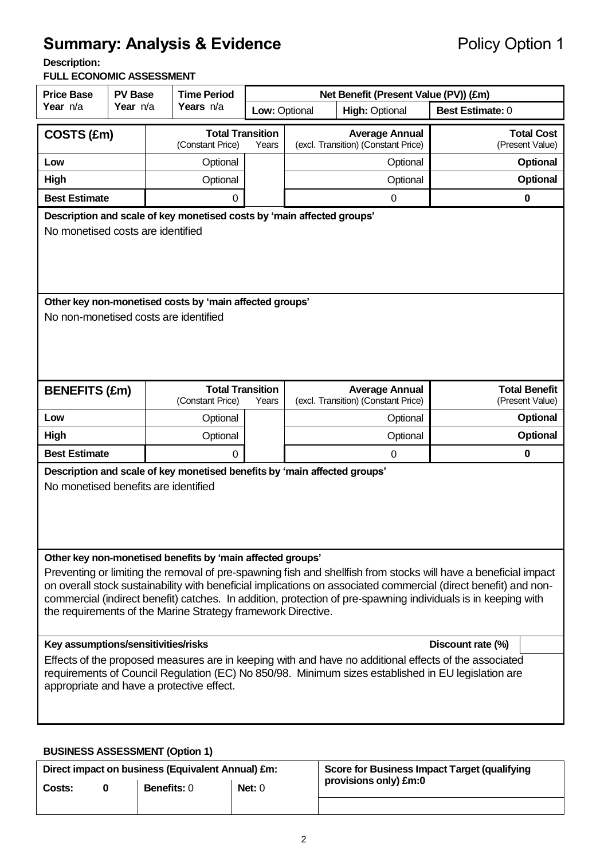# **Summary: Analysis & Evidence** Policy Option 1

**Description:** 

#### **FULL ECONOMIC ASSESSMENT**

| <b>Price Base</b><br><b>PV Base</b>                                                                                                                                                                                                                                                                                                                                                                                                                                               |                                                                                                                      | <b>Time Period</b> |                                                                        | Net Benefit (Present Value (PV)) (£m) |                       |                                                              |                                         |
|-----------------------------------------------------------------------------------------------------------------------------------------------------------------------------------------------------------------------------------------------------------------------------------------------------------------------------------------------------------------------------------------------------------------------------------------------------------------------------------|----------------------------------------------------------------------------------------------------------------------|--------------------|------------------------------------------------------------------------|---------------------------------------|-----------------------|--------------------------------------------------------------|-----------------------------------------|
| Year n/a                                                                                                                                                                                                                                                                                                                                                                                                                                                                          | Year n/a                                                                                                             |                    | Years n/a                                                              | Low: Optional                         | <b>High: Optional</b> |                                                              | <b>Best Estimate: 0</b>                 |
| COSTS (£m)                                                                                                                                                                                                                                                                                                                                                                                                                                                                        | <b>Total Transition</b><br><b>Average Annual</b><br>(Constant Price)<br>(excl. Transition) (Constant Price)<br>Years |                    | <b>Total Cost</b><br>(Present Value)                                   |                                       |                       |                                                              |                                         |
| Low                                                                                                                                                                                                                                                                                                                                                                                                                                                                               |                                                                                                                      |                    | Optional                                                               |                                       |                       | Optional                                                     | Optional                                |
| High                                                                                                                                                                                                                                                                                                                                                                                                                                                                              |                                                                                                                      |                    | Optional                                                               |                                       |                       | Optional                                                     | <b>Optional</b>                         |
| <b>Best Estimate</b>                                                                                                                                                                                                                                                                                                                                                                                                                                                              |                                                                                                                      |                    | 0                                                                      |                                       |                       | $\mathbf 0$                                                  | $\bf{0}$                                |
|                                                                                                                                                                                                                                                                                                                                                                                                                                                                                   |                                                                                                                      |                    | Description and scale of key monetised costs by 'main affected groups' |                                       |                       |                                                              |                                         |
|                                                                                                                                                                                                                                                                                                                                                                                                                                                                                   | No monetised costs are identified                                                                                    |                    |                                                                        |                                       |                       |                                                              |                                         |
|                                                                                                                                                                                                                                                                                                                                                                                                                                                                                   |                                                                                                                      |                    | Other key non-monetised costs by 'main affected groups'                |                                       |                       |                                                              |                                         |
| No non-monetised costs are identified                                                                                                                                                                                                                                                                                                                                                                                                                                             |                                                                                                                      |                    |                                                                        |                                       |                       |                                                              |                                         |
| <b>BENEFITS (£m)</b>                                                                                                                                                                                                                                                                                                                                                                                                                                                              |                                                                                                                      |                    | <b>Total Transition</b><br>(Constant Price)                            | Years                                 |                       | <b>Average Annual</b><br>(excl. Transition) (Constant Price) | <b>Total Benefit</b><br>(Present Value) |
| Low                                                                                                                                                                                                                                                                                                                                                                                                                                                                               |                                                                                                                      |                    | Optional                                                               |                                       |                       | Optional                                                     | Optional                                |
| High                                                                                                                                                                                                                                                                                                                                                                                                                                                                              |                                                                                                                      |                    | Optional                                                               |                                       |                       | Optional                                                     | Optional                                |
| <b>Best Estimate</b>                                                                                                                                                                                                                                                                                                                                                                                                                                                              |                                                                                                                      |                    | 0                                                                      |                                       |                       | $\boldsymbol{0}$                                             | $\bf{0}$                                |
| Description and scale of key monetised benefits by 'main affected groups'<br>No monetised benefits are identified                                                                                                                                                                                                                                                                                                                                                                 |                                                                                                                      |                    |                                                                        |                                       |                       |                                                              |                                         |
| Other key non-monetised benefits by 'main affected groups'<br>Preventing or limiting the removal of pre-spawning fish and shellfish from stocks will have a beneficial impact<br>on overall stock sustainability with beneficial implications on associated commercial (direct benefit) and non-<br>commercial (indirect benefit) catches. In addition, protection of pre-spawning individuals is in keeping with<br>the requirements of the Marine Strategy framework Directive. |                                                                                                                      |                    |                                                                        |                                       |                       |                                                              |                                         |
|                                                                                                                                                                                                                                                                                                                                                                                                                                                                                   | Key assumptions/sensitivities/risks<br>Discount rate (%)                                                             |                    |                                                                        |                                       |                       |                                                              |                                         |
| Effects of the proposed measures are in keeping with and have no additional effects of the associated<br>requirements of Council Regulation (EC) No 850/98. Minimum sizes established in EU legislation are<br>appropriate and have a protective effect.                                                                                                                                                                                                                          |                                                                                                                      |                    |                                                                        |                                       |                       |                                                              |                                         |

#### **BUSINESS ASSESSMENT (Option 1)**

|        | Direct impact on business (Equivalent Annual) £m: |          | Score for Business Impact Target (qualifying |
|--------|---------------------------------------------------|----------|----------------------------------------------|
| Costs: | <b>Benefits: 0</b>                                | Net: $0$ | provisions only) £m:0                        |
|        |                                                   |          |                                              |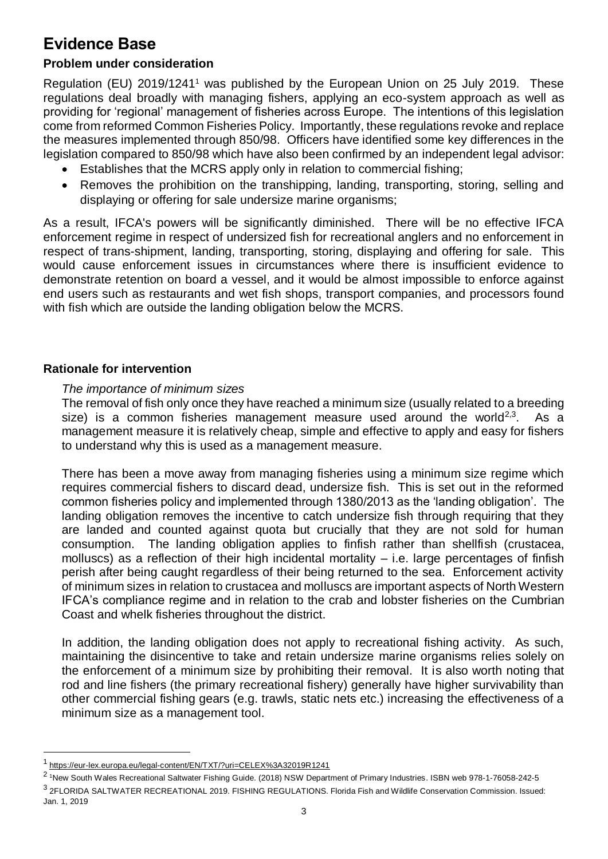# **Evidence Base**

### **Problem under consideration**

Regulation (EU) 2019/1241<sup>1</sup> was published by the European Union on 25 July 2019. These regulations deal broadly with managing fishers, applying an eco-system approach as well as providing for 'regional' management of fisheries across Europe. The intentions of this legislation come from reformed Common Fisheries Policy. Importantly, these regulations revoke and replace the measures implemented through 850/98. Officers have identified some key differences in the legislation compared to 850/98 which have also been confirmed by an independent legal advisor:

- Establishes that the MCRS apply only in relation to commercial fishing;
- Removes the prohibition on the transhipping, landing, transporting, storing, selling and displaying or offering for sale undersize marine organisms;

As a result, IFCA's powers will be significantly diminished. There will be no effective IFCA enforcement regime in respect of undersized fish for recreational anglers and no enforcement in respect of trans-shipment, landing, transporting, storing, displaying and offering for sale. This would cause enforcement issues in circumstances where there is insufficient evidence to demonstrate retention on board a vessel, and it would be almost impossible to enforce against end users such as restaurants and wet fish shops, transport companies, and processors found with fish which are outside the landing obligation below the MCRS.

#### **Rationale for intervention**

#### *The importance of minimum sizes*

The removal of fish only once they have reached a minimum size (usually related to a breeding size) is a common fisheries management measure used around the world<sup>2,3</sup>. . As a management measure it is relatively cheap, simple and effective to apply and easy for fishers to understand why this is used as a management measure.

There has been a move away from managing fisheries using a minimum size regime which requires commercial fishers to discard dead, undersize fish. This is set out in the reformed common fisheries policy and implemented through 1380/2013 as the 'landing obligation'. The landing obligation removes the incentive to catch undersize fish through requiring that they are landed and counted against quota but crucially that they are not sold for human consumption. The landing obligation applies to finfish rather than shellfish (crustacea, molluscs) as a reflection of their high incidental mortality – i.e. large percentages of finfish perish after being caught regardless of their being returned to the sea. Enforcement activity of minimum sizes in relation to crustacea and molluscs are important aspects of North Western IFCA's compliance regime and in relation to the crab and lobster fisheries on the Cumbrian Coast and whelk fisheries throughout the district.

In addition, the landing obligation does not apply to recreational fishing activity. As such, maintaining the disincentive to take and retain undersize marine organisms relies solely on the enforcement of a minimum size by prohibiting their removal. It is also worth noting that rod and line fishers (the primary recreational fishery) generally have higher survivability than other commercial fishing gears (e.g. trawls, static nets etc.) increasing the effectiveness of a minimum size as a management tool.

l

<sup>1</sup> <https://eur-lex.europa.eu/legal-content/EN/TXT/?uri=CELEX%3A32019R1241>

<sup>&</sup>lt;sup>2</sup> 1New South Wales Recreational Saltwater Fishing Guide. (2018) NSW Department of Primary Industries. ISBN web 978-1-76058-242-5 <sup>3</sup> 2FLORIDA SALTWATER RECREATIONAL 2019. FISHING REGULATIONS. Florida Fish and Wildlife Conservation Commission. Issued: Jan. 1, 2019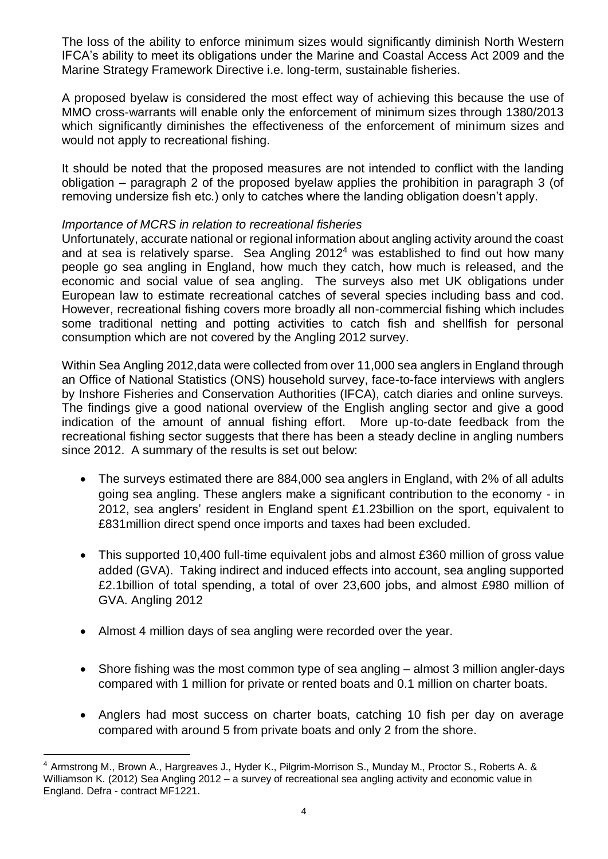The loss of the ability to enforce minimum sizes would significantly diminish North Western IFCA's ability to meet its obligations under the Marine and Coastal Access Act 2009 and the Marine Strategy Framework Directive i.e. long-term, sustainable fisheries.

A proposed byelaw is considered the most effect way of achieving this because the use of MMO cross-warrants will enable only the enforcement of minimum sizes through 1380/2013 which significantly diminishes the effectiveness of the enforcement of minimum sizes and would not apply to recreational fishing.

It should be noted that the proposed measures are not intended to conflict with the landing obligation – paragraph 2 of the proposed byelaw applies the prohibition in paragraph 3 (of removing undersize fish etc.) only to catches where the landing obligation doesn't apply.

#### *Importance of MCRS in relation to recreational fisheries*

Unfortunately, accurate national or regional information about angling activity around the coast and at sea is relatively sparse. Sea Angling 2012<sup>4</sup> was established to find out how many people go sea angling in England, how much they catch, how much is released, and the economic and social value of sea angling. The surveys also met UK obligations under European law to estimate recreational catches of several species including bass and cod. However, recreational fishing covers more broadly all non-commercial fishing which includes some traditional netting and potting activities to catch fish and shellfish for personal consumption which are not covered by the Angling 2012 survey.

Within Sea Angling 2012,data were collected from over 11,000 sea anglers in England through an Office of National Statistics (ONS) household survey, face-to-face interviews with anglers by Inshore Fisheries and Conservation Authorities (IFCA), catch diaries and online surveys. The findings give a good national overview of the English angling sector and give a good indication of the amount of annual fishing effort. More up-to-date feedback from the recreational fishing sector suggests that there has been a steady decline in angling numbers since 2012. A summary of the results is set out below:

- The surveys estimated there are 884,000 sea anglers in England, with 2% of all adults going sea angling. These anglers make a significant contribution to the economy - in 2012, sea anglers' resident in England spent £1.23billion on the sport, equivalent to £831million direct spend once imports and taxes had been excluded.
- This supported 10,400 full-time equivalent jobs and almost £360 million of gross value added (GVA). Taking indirect and induced effects into account, sea angling supported £2.1billion of total spending, a total of over 23,600 jobs, and almost £980 million of GVA. Angling 2012
- Almost 4 million days of sea angling were recorded over the year.

l

- Shore fishing was the most common type of sea angling almost 3 million angler-days compared with 1 million for private or rented boats and 0.1 million on charter boats.
- Anglers had most success on charter boats, catching 10 fish per day on average compared with around 5 from private boats and only 2 from the shore.

<sup>4</sup> Armstrong M., Brown A., Hargreaves J., Hyder K., Pilgrim-Morrison S., Munday M., Proctor S., Roberts A. & Williamson K. (2012) Sea Angling 2012 – a survey of recreational sea angling activity and economic value in England. Defra - contract MF1221.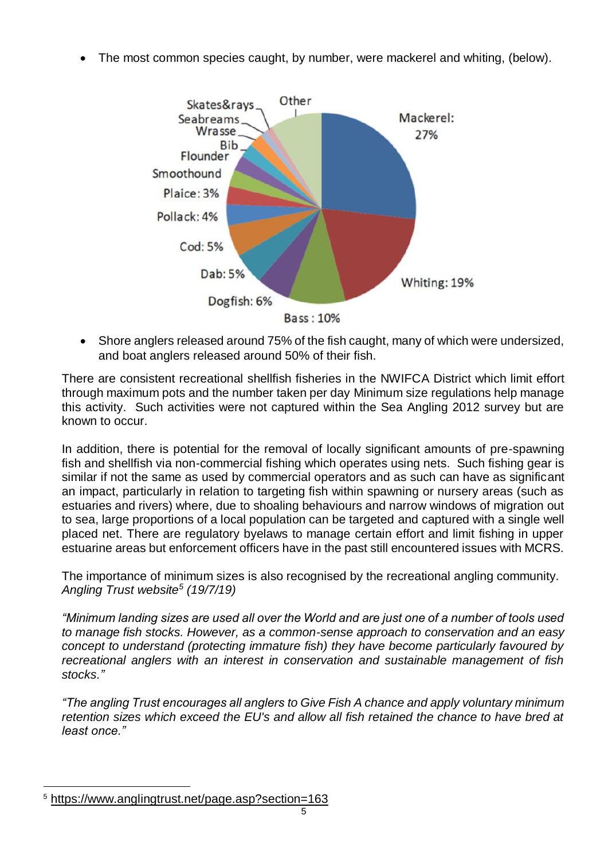The most common species caught, by number, were mackerel and whiting, (below).



 Shore anglers released around 75% of the fish caught, many of which were undersized, and boat anglers released around 50% of their fish.

There are consistent recreational shellfish fisheries in the NWIFCA District which limit effort through maximum pots and the number taken per day Minimum size regulations help manage this activity. Such activities were not captured within the Sea Angling 2012 survey but are known to occur.

In addition, there is potential for the removal of locally significant amounts of pre-spawning fish and shellfish via non-commercial fishing which operates using nets. Such fishing gear is similar if not the same as used by commercial operators and as such can have as significant an impact, particularly in relation to targeting fish within spawning or nursery areas (such as estuaries and rivers) where, due to shoaling behaviours and narrow windows of migration out to sea, large proportions of a local population can be targeted and captured with a single well placed net. There are regulatory byelaws to manage certain effort and limit fishing in upper estuarine areas but enforcement officers have in the past still encountered issues with MCRS.

The importance of minimum sizes is also recognised by the recreational angling community. *Angling Trust website<sup>5</sup> (19/7/19)*

*"Minimum landing sizes are used all over the World and are just one of a number of tools used to manage fish stocks. However, as a common-sense approach to conservation and an easy concept to understand (protecting immature fish) they have become particularly favoured by recreational anglers with an interest in conservation and sustainable management of fish stocks."*

*"The angling Trust encourages all anglers to Give Fish A chance and apply voluntary minimum retention sizes which exceed the EU's and allow all fish retained the chance to have bred at least once."*

l <sup>5</sup> <https://www.anglingtrust.net/page.asp?section=163>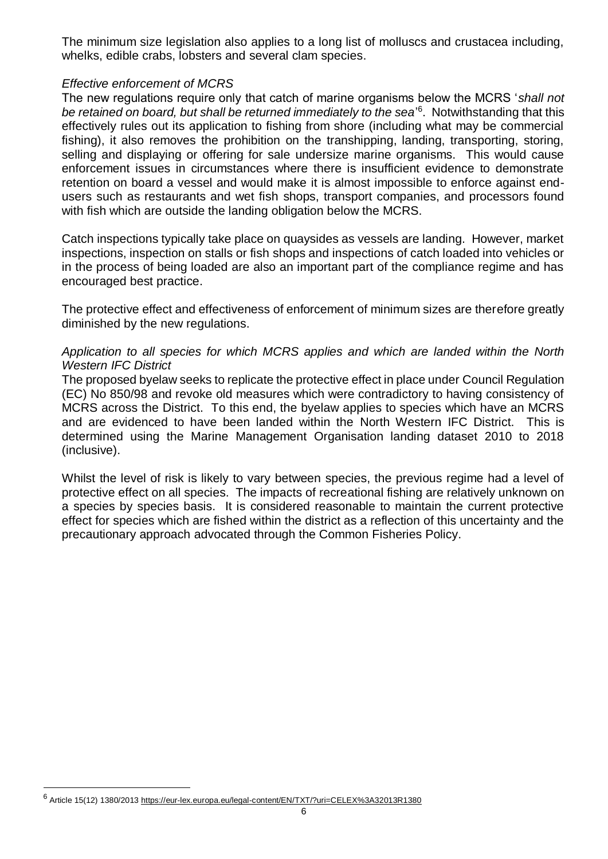The minimum size legislation also applies to a long list of molluscs and crustacea including, whelks, edible crabs, lobsters and several clam species.

#### *Effective enforcement of MCRS*

The new regulations require only that catch of marine organisms below the MCRS '*shall not*  be retained on board, but shall be returned immediately to the sea<sup>'6</sup>. Notwithstanding that this effectively rules out its application to fishing from shore (including what may be commercial fishing), it also removes the prohibition on the transhipping, landing, transporting, storing, selling and displaying or offering for sale undersize marine organisms. This would cause enforcement issues in circumstances where there is insufficient evidence to demonstrate retention on board a vessel and would make it is almost impossible to enforce against endusers such as restaurants and wet fish shops, transport companies, and processors found with fish which are outside the landing obligation below the MCRS.

Catch inspections typically take place on quaysides as vessels are landing. However, market inspections, inspection on stalls or fish shops and inspections of catch loaded into vehicles or in the process of being loaded are also an important part of the compliance regime and has encouraged best practice.

The protective effect and effectiveness of enforcement of minimum sizes are therefore greatly diminished by the new regulations.

#### *Application to all species for which MCRS applies and which are landed within the North Western IFC District*

The proposed byelaw seeks to replicate the protective effect in place under Council Regulation (EC) No 850/98 and revoke old measures which were contradictory to having consistency of MCRS across the District. To this end, the byelaw applies to species which have an MCRS and are evidenced to have been landed within the North Western IFC District. This is determined using the Marine Management Organisation landing dataset 2010 to 2018 (inclusive).

Whilst the level of risk is likely to vary between species, the previous regime had a level of protective effect on all species. The impacts of recreational fishing are relatively unknown on a species by species basis. It is considered reasonable to maintain the current protective effect for species which are fished within the district as a reflection of this uncertainty and the precautionary approach advocated through the Common Fisheries Policy.

l

<sup>6&</sup>lt;br><sup>6</sup> Article 15(12) 1380/2013<https://eur-lex.europa.eu/legal-content/EN/TXT/?uri=CELEX%3A32013R1380>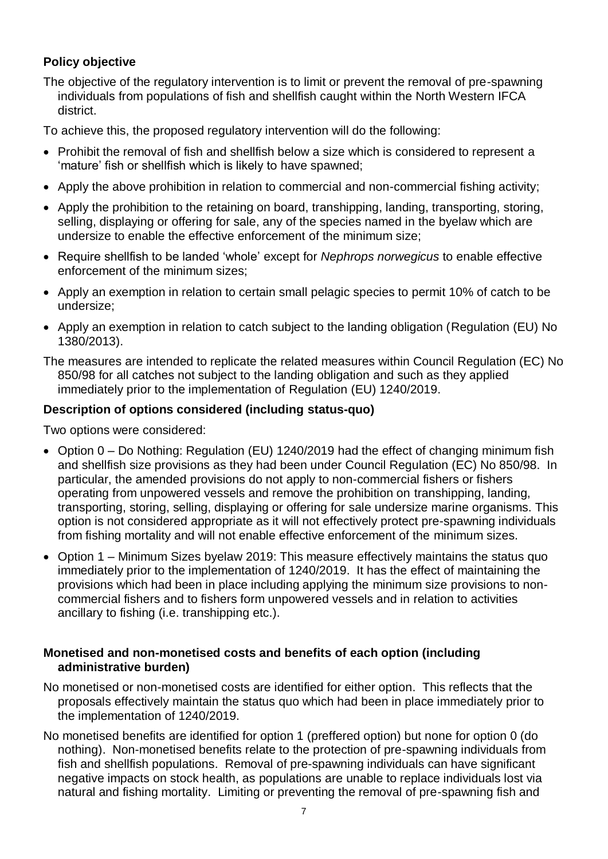## **Policy objective**

The objective of the regulatory intervention is to limit or prevent the removal of pre-spawning individuals from populations of fish and shellfish caught within the North Western IFCA district.

To achieve this, the proposed regulatory intervention will do the following:

- Prohibit the removal of fish and shellfish below a size which is considered to represent a 'mature' fish or shellfish which is likely to have spawned;
- Apply the above prohibition in relation to commercial and non-commercial fishing activity;
- Apply the prohibition to the retaining on board, transhipping, landing, transporting, storing, selling, displaying or offering for sale, any of the species named in the byelaw which are undersize to enable the effective enforcement of the minimum size;
- Require shellfish to be landed 'whole' except for *Nephrops norwegicus* to enable effective enforcement of the minimum sizes;
- Apply an exemption in relation to certain small pelagic species to permit 10% of catch to be undersize;
- Apply an exemption in relation to catch subject to the landing obligation (Regulation (EU) No 1380/2013).

The measures are intended to replicate the related measures within Council Regulation (EC) No 850/98 for all catches not subject to the landing obligation and such as they applied immediately prior to the implementation of Regulation (EU) 1240/2019.

#### **Description of options considered (including status-quo)**

Two options were considered:

- Option 0 Do Nothing: Regulation (EU) 1240/2019 had the effect of changing minimum fish and shellfish size provisions as they had been under Council Regulation (EC) No 850/98. In particular, the amended provisions do not apply to non-commercial fishers or fishers operating from unpowered vessels and remove the prohibition on transhipping, landing, transporting, storing, selling, displaying or offering for sale undersize marine organisms. This option is not considered appropriate as it will not effectively protect pre-spawning individuals from fishing mortality and will not enable effective enforcement of the minimum sizes.
- Option 1 Minimum Sizes byelaw 2019: This measure effectively maintains the status quo immediately prior to the implementation of 1240/2019. It has the effect of maintaining the provisions which had been in place including applying the minimum size provisions to noncommercial fishers and to fishers form unpowered vessels and in relation to activities ancillary to fishing (i.e. transhipping etc.).

#### **Monetised and non-monetised costs and benefits of each option (including administrative burden)**

- No monetised or non-monetised costs are identified for either option. This reflects that the proposals effectively maintain the status quo which had been in place immediately prior to the implementation of 1240/2019.
- No monetised benefits are identified for option 1 (preffered option) but none for option 0 (do nothing). Non-monetised benefits relate to the protection of pre-spawning individuals from fish and shellfish populations. Removal of pre-spawning individuals can have significant negative impacts on stock health, as populations are unable to replace individuals lost via natural and fishing mortality. Limiting or preventing the removal of pre-spawning fish and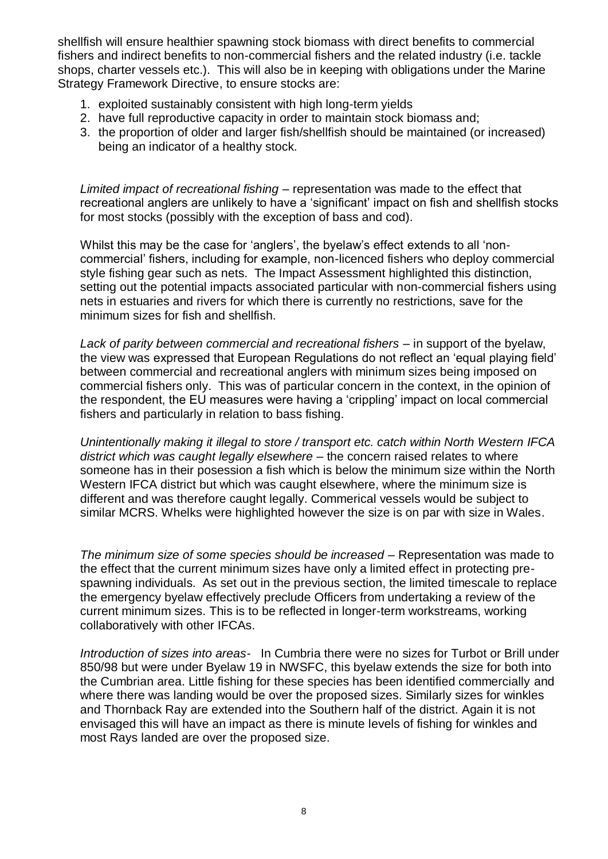shellfish will ensure healthier spawning stock biomass with direct benefits to commercial fishers and indirect benefits to non-commercial fishers and the related industry (i.e. tackle shops, charter vessels etc.). This will also be in keeping with obligations under the Marine Strategy Framework Directive, to ensure stocks are:

- 1. exploited sustainably consistent with high long-term yields
- 2. have full reproductive capacity in order to maintain stock biomass and;
- 3. the proportion of older and larger fish/shellfish should be maintained (or increased) being an indicator of a healthy stock.

*Limited impact of recreational fishing –* representation was made to the effect that recreational anglers are unlikely to have a 'significant' impact on fish and shellfish stocks for most stocks (possibly with the exception of bass and cod).

Whilst this may be the case for 'anglers', the byelaw's effect extends to all 'noncommercial' fishers, including for example, non-licenced fishers who deploy commercial style fishing gear such as nets. The Impact Assessment highlighted this distinction, setting out the potential impacts associated particular with non-commercial fishers using nets in estuaries and rivers for which there is currently no restrictions, save for the minimum sizes for fish and shellfish.

Lack of parity between commercial and recreational fishers – in support of the byelaw, the view was expressed that European Regulations do not reflect an 'equal playing field' between commercial and recreational anglers with minimum sizes being imposed on commercial fishers only. This was of particular concern in the context, in the opinion of the respondent, the EU measures were having a 'crippling' impact on local commercial fishers and particularly in relation to bass fishing.

*Unintentionally making it illegal to store / transport etc. catch within North Western IFCA district which was caught legally elsewhere* – the concern raised relates to where someone has in their posession a fish which is below the minimum size within the North Western IFCA district but which was caught elsewhere, where the minimum size is different and was therefore caught legally. Commerical vessels would be subject to similar MCRS. Whelks were highlighted however the size is on par with size in Wales.

*The minimum size of some species should be increased –* Representation was made to the effect that the current minimum sizes have only a limited effect in protecting prespawning individuals. As set out in the previous section, the limited timescale to replace the emergency byelaw effectively preclude Officers from undertaking a review of the current minimum sizes. This is to be reflected in longer-term workstreams, working collaboratively with other IFCAs.

*Introduction of sizes into areas-* In Cumbria there were no sizes for Turbot or Brill under 850/98 but were under Byelaw 19 in NWSFC, this byelaw extends the size for both into the Cumbrian area. Little fishing for these species has been identified commercially and where there was landing would be over the proposed sizes. Similarly sizes for winkles and Thornback Ray are extended into the Southern half of the district. Again it is not envisaged this will have an impact as there is minute levels of fishing for winkles and most Rays landed are over the proposed size.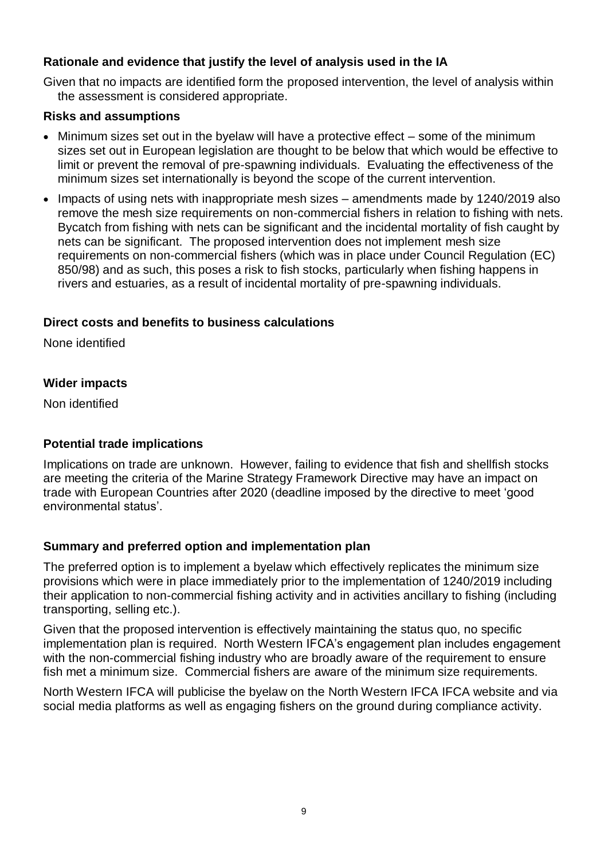### **Rationale and evidence that justify the level of analysis used in the IA**

Given that no impacts are identified form the proposed intervention, the level of analysis within the assessment is considered appropriate.

#### **Risks and assumptions**

- Minimum sizes set out in the byelaw will have a protective effect some of the minimum sizes set out in European legislation are thought to be below that which would be effective to limit or prevent the removal of pre-spawning individuals. Evaluating the effectiveness of the minimum sizes set internationally is beyond the scope of the current intervention.
- Impacts of using nets with inappropriate mesh sizes amendments made by 1240/2019 also remove the mesh size requirements on non-commercial fishers in relation to fishing with nets. Bycatch from fishing with nets can be significant and the incidental mortality of fish caught by nets can be significant. The proposed intervention does not implement mesh size requirements on non-commercial fishers (which was in place under Council Regulation (EC) 850/98) and as such, this poses a risk to fish stocks, particularly when fishing happens in rivers and estuaries, as a result of incidental mortality of pre-spawning individuals.

#### **Direct costs and benefits to business calculations**

None identified

#### **Wider impacts**

Non identified

#### **Potential trade implications**

Implications on trade are unknown. However, failing to evidence that fish and shellfish stocks are meeting the criteria of the Marine Strategy Framework Directive may have an impact on trade with European Countries after 2020 (deadline imposed by the directive to meet 'good environmental status'.

#### **Summary and preferred option and implementation plan**

The preferred option is to implement a byelaw which effectively replicates the minimum size provisions which were in place immediately prior to the implementation of 1240/2019 including their application to non-commercial fishing activity and in activities ancillary to fishing (including transporting, selling etc.).

Given that the proposed intervention is effectively maintaining the status quo, no specific implementation plan is required. North Western IFCA's engagement plan includes engagement with the non-commercial fishing industry who are broadly aware of the requirement to ensure fish met a minimum size. Commercial fishers are aware of the minimum size requirements.

North Western IFCA will publicise the byelaw on the North Western IFCA IFCA website and via social media platforms as well as engaging fishers on the ground during compliance activity.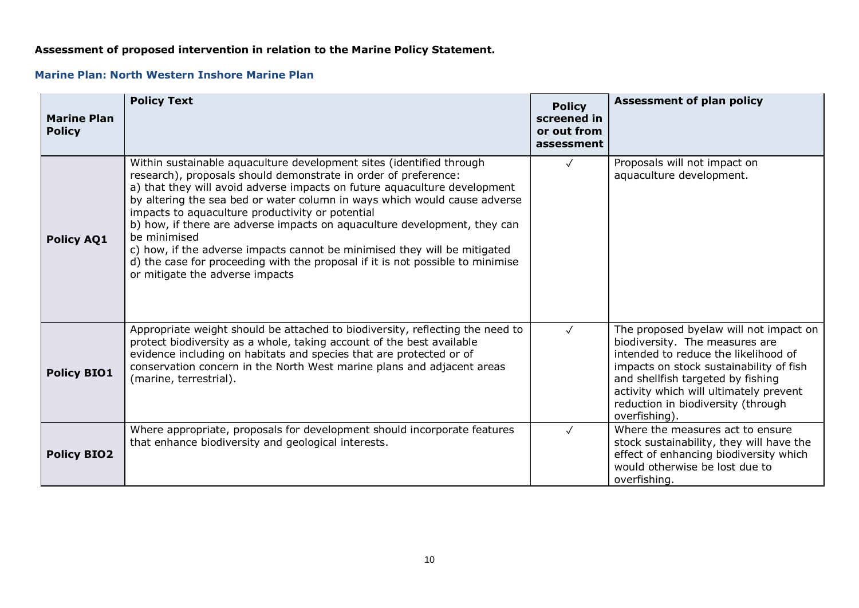#### **Assessment of proposed intervention in relation to the Marine Policy Statement.**

#### **Marine Plan: North Western Inshore Marine Plan**

| <b>Marine Plan</b><br><b>Policy</b> | <b>Policy Text</b>                                                                                                                                                                                                                                                                                                                                                                                                                                                                                                                                                                                                                                   | <b>Policy</b><br>screened in<br>or out from<br>assessment | <b>Assessment of plan policy</b>                                                                                                                                                                                                                                                                  |
|-------------------------------------|------------------------------------------------------------------------------------------------------------------------------------------------------------------------------------------------------------------------------------------------------------------------------------------------------------------------------------------------------------------------------------------------------------------------------------------------------------------------------------------------------------------------------------------------------------------------------------------------------------------------------------------------------|-----------------------------------------------------------|---------------------------------------------------------------------------------------------------------------------------------------------------------------------------------------------------------------------------------------------------------------------------------------------------|
| <b>Policy AQ1</b>                   | Within sustainable aquaculture development sites (identified through<br>research), proposals should demonstrate in order of preference:<br>a) that they will avoid adverse impacts on future aquaculture development<br>by altering the sea bed or water column in ways which would cause adverse<br>impacts to aquaculture productivity or potential<br>b) how, if there are adverse impacts on aquaculture development, they can<br>be minimised<br>c) how, if the adverse impacts cannot be minimised they will be mitigated<br>d) the case for proceeding with the proposal if it is not possible to minimise<br>or mitigate the adverse impacts | $\checkmark$                                              | Proposals will not impact on<br>aquaculture development.                                                                                                                                                                                                                                          |
| <b>Policy BIO1</b>                  | Appropriate weight should be attached to biodiversity, reflecting the need to<br>protect biodiversity as a whole, taking account of the best available<br>evidence including on habitats and species that are protected or of<br>conservation concern in the North West marine plans and adjacent areas<br>(marine, terrestrial).                                                                                                                                                                                                                                                                                                                    | $\sqrt{ }$                                                | The proposed byelaw will not impact on<br>biodiversity. The measures are<br>intended to reduce the likelihood of<br>impacts on stock sustainability of fish<br>and shellfish targeted by fishing<br>activity which will ultimately prevent<br>reduction in biodiversity (through<br>overfishing). |
| <b>Policy BIO2</b>                  | Where appropriate, proposals for development should incorporate features<br>that enhance biodiversity and geological interests.                                                                                                                                                                                                                                                                                                                                                                                                                                                                                                                      | $\sqrt{ }$                                                | Where the measures act to ensure<br>stock sustainability, they will have the<br>effect of enhancing biodiversity which<br>would otherwise be lost due to<br>overfishing.                                                                                                                          |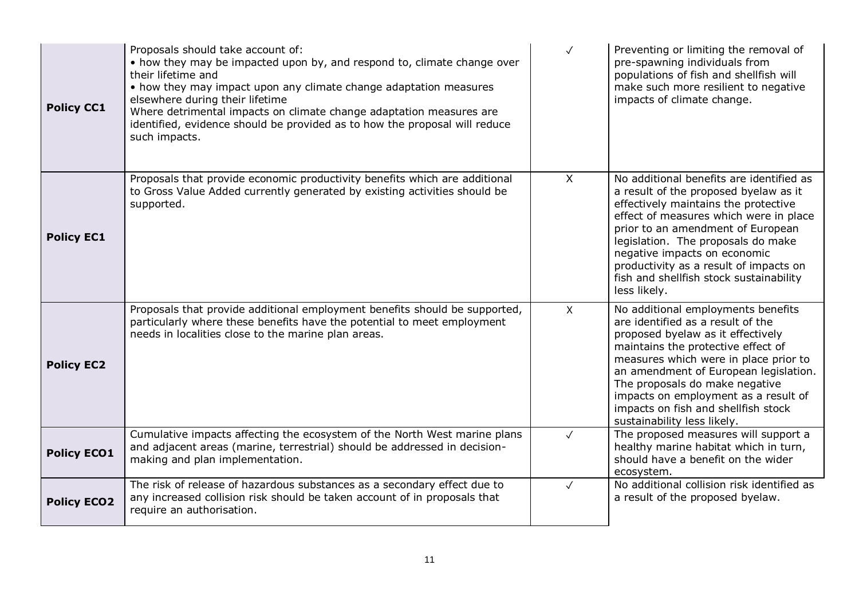| <b>Policy CC1</b>  | Proposals should take account of:<br>• how they may be impacted upon by, and respond to, climate change over<br>their lifetime and<br>• how they may impact upon any climate change adaptation measures<br>elsewhere during their lifetime<br>Where detrimental impacts on climate change adaptation measures are<br>identified, evidence should be provided as to how the proposal will reduce<br>such impacts. | $\checkmark$ | Preventing or limiting the removal of<br>pre-spawning individuals from<br>populations of fish and shellfish will<br>make such more resilient to negative<br>impacts of climate change.                                                                                                                                                                                               |
|--------------------|------------------------------------------------------------------------------------------------------------------------------------------------------------------------------------------------------------------------------------------------------------------------------------------------------------------------------------------------------------------------------------------------------------------|--------------|--------------------------------------------------------------------------------------------------------------------------------------------------------------------------------------------------------------------------------------------------------------------------------------------------------------------------------------------------------------------------------------|
| <b>Policy EC1</b>  | Proposals that provide economic productivity benefits which are additional<br>to Gross Value Added currently generated by existing activities should be<br>supported.                                                                                                                                                                                                                                            | $\sf X$      | No additional benefits are identified as<br>a result of the proposed byelaw as it<br>effectively maintains the protective<br>effect of measures which were in place<br>prior to an amendment of European<br>legislation. The proposals do make<br>negative impacts on economic<br>productivity as a result of impacts on<br>fish and shellfish stock sustainability<br>less likely.  |
| <b>Policy EC2</b>  | Proposals that provide additional employment benefits should be supported,<br>particularly where these benefits have the potential to meet employment<br>needs in localities close to the marine plan areas.                                                                                                                                                                                                     | $\mathsf{X}$ | No additional employments benefits<br>are identified as a result of the<br>proposed byelaw as it effectively<br>maintains the protective effect of<br>measures which were in place prior to<br>an amendment of European legislation.<br>The proposals do make negative<br>impacts on employment as a result of<br>impacts on fish and shellfish stock<br>sustainability less likely. |
| <b>Policy ECO1</b> | Cumulative impacts affecting the ecosystem of the North West marine plans<br>and adjacent areas (marine, terrestrial) should be addressed in decision-<br>making and plan implementation.                                                                                                                                                                                                                        | $\sqrt{ }$   | The proposed measures will support a<br>healthy marine habitat which in turn,<br>should have a benefit on the wider<br>ecosystem.                                                                                                                                                                                                                                                    |
| <b>Policy ECO2</b> | The risk of release of hazardous substances as a secondary effect due to<br>any increased collision risk should be taken account of in proposals that<br>require an authorisation.                                                                                                                                                                                                                               | $\checkmark$ | No additional collision risk identified as<br>a result of the proposed byelaw.                                                                                                                                                                                                                                                                                                       |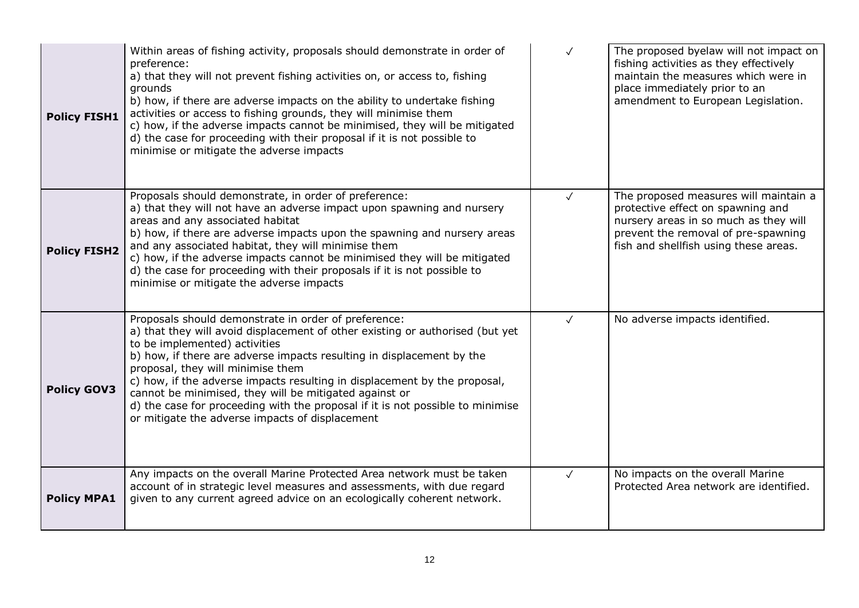| <b>Policy FISH1</b> | Within areas of fishing activity, proposals should demonstrate in order of<br>preference:<br>a) that they will not prevent fishing activities on, or access to, fishing<br>grounds<br>b) how, if there are adverse impacts on the ability to undertake fishing<br>activities or access to fishing grounds, they will minimise them<br>c) how, if the adverse impacts cannot be minimised, they will be mitigated<br>d) the case for proceeding with their proposal if it is not possible to<br>minimise or mitigate the adverse impacts                          | $\checkmark$ | The proposed byelaw will not impact on<br>fishing activities as they effectively<br>maintain the measures which were in<br>place immediately prior to an<br>amendment to European Legislation.      |
|---------------------|------------------------------------------------------------------------------------------------------------------------------------------------------------------------------------------------------------------------------------------------------------------------------------------------------------------------------------------------------------------------------------------------------------------------------------------------------------------------------------------------------------------------------------------------------------------|--------------|-----------------------------------------------------------------------------------------------------------------------------------------------------------------------------------------------------|
| <b>Policy FISH2</b> | Proposals should demonstrate, in order of preference:<br>a) that they will not have an adverse impact upon spawning and nursery<br>areas and any associated habitat<br>b) how, if there are adverse impacts upon the spawning and nursery areas<br>and any associated habitat, they will minimise them<br>c) how, if the adverse impacts cannot be minimised they will be mitigated<br>d) the case for proceeding with their proposals if it is not possible to<br>minimise or mitigate the adverse impacts                                                      | $\checkmark$ | The proposed measures will maintain a<br>protective effect on spawning and<br>nursery areas in so much as they will<br>prevent the removal of pre-spawning<br>fish and shellfish using these areas. |
| <b>Policy GOV3</b>  | Proposals should demonstrate in order of preference:<br>a) that they will avoid displacement of other existing or authorised (but yet<br>to be implemented) activities<br>b) how, if there are adverse impacts resulting in displacement by the<br>proposal, they will minimise them<br>c) how, if the adverse impacts resulting in displacement by the proposal,<br>cannot be minimised, they will be mitigated against or<br>d) the case for proceeding with the proposal if it is not possible to minimise<br>or mitigate the adverse impacts of displacement | $\checkmark$ | No adverse impacts identified.                                                                                                                                                                      |
| <b>Policy MPA1</b>  | Any impacts on the overall Marine Protected Area network must be taken<br>account of in strategic level measures and assessments, with due regard<br>given to any current agreed advice on an ecologically coherent network.                                                                                                                                                                                                                                                                                                                                     | $\checkmark$ | No impacts on the overall Marine<br>Protected Area network are identified.                                                                                                                          |